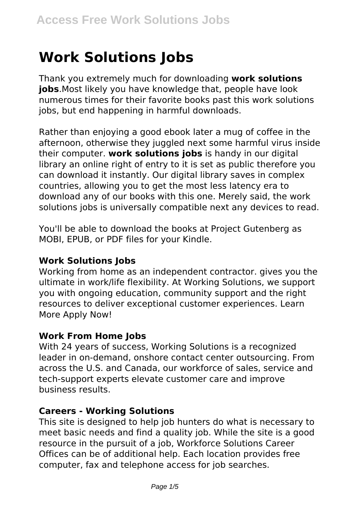# **Work Solutions Jobs**

Thank you extremely much for downloading **work solutions jobs**.Most likely you have knowledge that, people have look numerous times for their favorite books past this work solutions jobs, but end happening in harmful downloads.

Rather than enjoying a good ebook later a mug of coffee in the afternoon, otherwise they juggled next some harmful virus inside their computer. **work solutions jobs** is handy in our digital library an online right of entry to it is set as public therefore you can download it instantly. Our digital library saves in complex countries, allowing you to get the most less latency era to download any of our books with this one. Merely said, the work solutions jobs is universally compatible next any devices to read.

You'll be able to download the books at Project Gutenberg as MOBI, EPUB, or PDF files for your Kindle.

#### **Work Solutions Jobs**

Working from home as an independent contractor. gives you the ultimate in work/life flexibility. At Working Solutions, we support you with ongoing education, community support and the right resources to deliver exceptional customer experiences. Learn More Apply Now!

#### **Work From Home Jobs**

With 24 years of success, Working Solutions is a recognized leader in on-demand, onshore contact center outsourcing. From across the U.S. and Canada, our workforce of sales, service and tech-support experts elevate customer care and improve business results.

#### **Careers - Working Solutions**

This site is designed to help job hunters do what is necessary to meet basic needs and find a quality job. While the site is a good resource in the pursuit of a job, Workforce Solutions Career Offices can be of additional help. Each location provides free computer, fax and telephone access for job searches.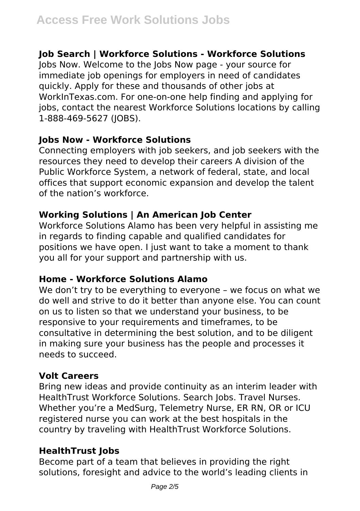# **Job Search | Workforce Solutions - Workforce Solutions**

Jobs Now. Welcome to the Jobs Now page - your source for immediate job openings for employers in need of candidates quickly. Apply for these and thousands of other jobs at WorkInTexas.com. For one-on-one help finding and applying for jobs, contact the nearest Workforce Solutions locations by calling 1-888-469-5627 (JOBS).

#### **Jobs Now - Workforce Solutions**

Connecting employers with job seekers, and job seekers with the resources they need to develop their careers A division of the Public Workforce System, a network of federal, state, and local offices that support economic expansion and develop the talent of the nation's workforce.

#### **Working Solutions | An American Job Center**

Workforce Solutions Alamo has been very helpful in assisting me in regards to finding capable and qualified candidates for positions we have open. I just want to take a moment to thank you all for your support and partnership with us.

#### **Home - Workforce Solutions Alamo**

We don't try to be everything to everyone – we focus on what we do well and strive to do it better than anyone else. You can count on us to listen so that we understand your business, to be responsive to your requirements and timeframes, to be consultative in determining the best solution, and to be diligent in making sure your business has the people and processes it needs to succeed.

#### **Volt Careers**

Bring new ideas and provide continuity as an interim leader with HealthTrust Workforce Solutions. Search Jobs. Travel Nurses. Whether you're a MedSurg, Telemetry Nurse, ER RN, OR or ICU registered nurse you can work at the best hospitals in the country by traveling with HealthTrust Workforce Solutions.

# **HealthTrust Jobs**

Become part of a team that believes in providing the right solutions, foresight and advice to the world's leading clients in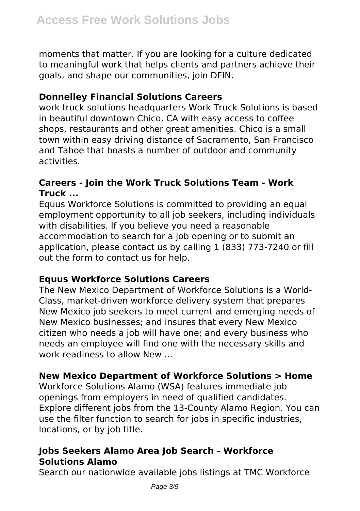moments that matter. If you are looking for a culture dedicated to meaningful work that helps clients and partners achieve their goals, and shape our communities, join DFIN.

#### **Donnelley Financial Solutions Careers**

work truck solutions headquarters Work Truck Solutions is based in beautiful downtown Chico, CA with easy access to coffee shops, restaurants and other great amenities. Chico is a small town within easy driving distance of Sacramento, San Francisco and Tahoe that boasts a number of outdoor and community activities.

#### **Careers - Join the Work Truck Solutions Team - Work Truck ...**

Equus Workforce Solutions is committed to providing an equal employment opportunity to all job seekers, including individuals with disabilities. If you believe you need a reasonable accommodation to search for a job opening or to submit an application, please contact us by calling 1 (833) 773-7240 or fill out the form to contact us for help.

#### **Equus Workforce Solutions Careers**

The New Mexico Department of Workforce Solutions is a World-Class, market-driven workforce delivery system that prepares New Mexico job seekers to meet current and emerging needs of New Mexico businesses; and insures that every New Mexico citizen who needs a job will have one; and every business who needs an employee will find one with the necessary skills and work readiness to allow New ...

#### **New Mexico Department of Workforce Solutions > Home**

Workforce Solutions Alamo (WSA) features immediate job openings from employers in need of qualified candidates. Explore different jobs from the 13-County Alamo Region. You can use the filter function to search for jobs in specific industries, locations, or by job title.

#### **Jobs Seekers Alamo Area Job Search - Workforce Solutions Alamo**

Search our nationwide available jobs listings at TMC Workforce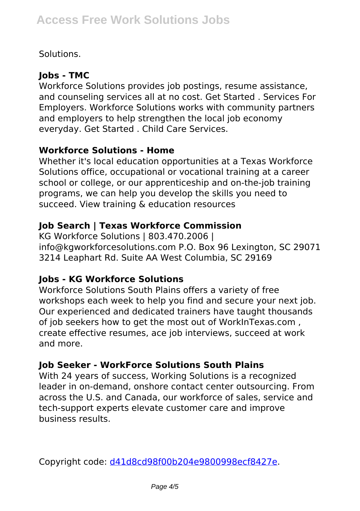# Solutions.

# **Jobs - TMC**

Workforce Solutions provides job postings, resume assistance, and counseling services all at no cost. Get Started . Services For Employers. Workforce Solutions works with community partners and employers to help strengthen the local job economy everyday. Get Started . Child Care Services.

#### **Workforce Solutions - Home**

Whether it's local education opportunities at a Texas Workforce Solutions office, occupational or vocational training at a career school or college, or our apprenticeship and on-the-job training programs, we can help you develop the skills you need to succeed. View training & education resources

# **Job Search | Texas Workforce Commission**

KG Workforce Solutions | 803.470.2006 | info@kgworkforcesolutions.com P.O. Box 96 Lexington, SC 29071 3214 Leaphart Rd. Suite AA West Columbia, SC 29169

#### **Jobs - KG Workforce Solutions**

Workforce Solutions South Plains offers a variety of free workshops each week to help you find and secure your next job. Our experienced and dedicated trainers have taught thousands of job seekers how to get the most out of WorkInTexas.com , create effective resumes, ace job interviews, succeed at work and more.

#### **Job Seeker - WorkForce Solutions South Plains**

With 24 years of success, Working Solutions is a recognized leader in on-demand, onshore contact center outsourcing. From across the U.S. and Canada, our workforce of sales, service and tech-support experts elevate customer care and improve business results.

Copyright code: [d41d8cd98f00b204e9800998ecf8427e.](/sitemap.xml)